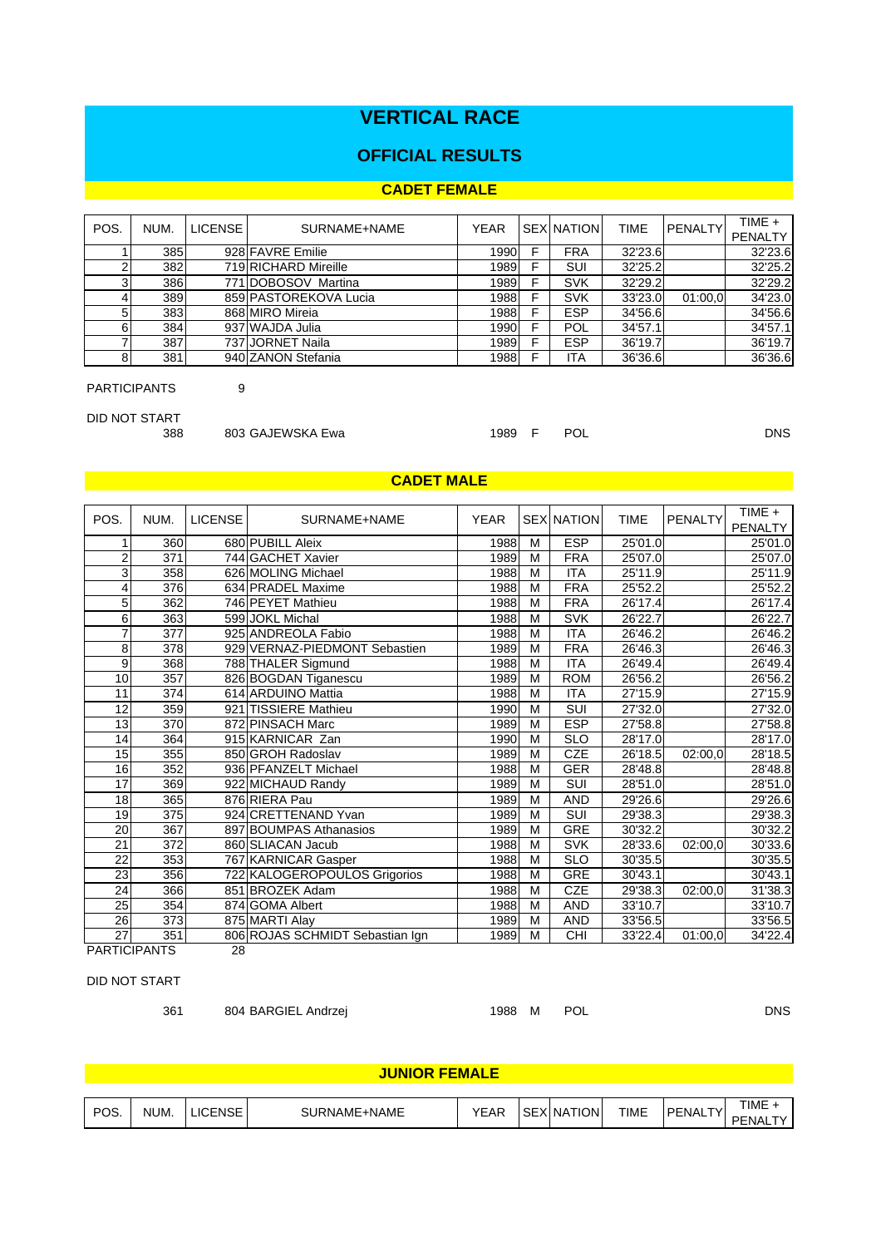# **VERTICAL RACE**

## **OFFICIAL RESULTS**

#### **CADET FEMALE**

| POS. | NUM. | <b>LICENSE</b> | SURNAME+NAME          | <b>YEAR</b> |   | <b>SEX NATION</b> | <b>TIME</b> | <b>PENALTY</b> | TIME +<br>PENALTY |
|------|------|----------------|-----------------------|-------------|---|-------------------|-------------|----------------|-------------------|
|      | 385  |                | 928 FAVRE Emilie      | 1990        | F | <b>FRA</b>        | 32'23.6     |                | 32'23.6           |
|      | 382  |                | 719 RICHARD Mireille  | 1989        |   | SUI               | 32'25.2     |                | 32'25.2           |
|      | 386  |                | 771 DOBOSOV Martina   | 1989        | F | <b>SVK</b>        | 32'29.2     |                | 32'29.2           |
|      | 389  |                | 859 PASTOREKOVA Lucia | 1988        |   | <b>SVK</b>        | 33'23.0     | 01:00.0        | 34'23.0           |
| 5    | 383  |                | 868 MIRO Mireia       | 1988        |   | <b>ESP</b>        | 34'56.6     |                | 34'56.6           |
| 6    | 384  |                | 937 WAJDA Julia       | 1990        | F | POL               | 34'57.1     |                | 34'57.1           |
|      | 387  |                | 737 JORNET Naila      | 1989        | F | <b>ESP</b>        | 36'19.7     |                | 36'19.7           |
| 8    | 381  |                | 940 ZANON Stefania    | 1988        |   | ITA               | 36'36.6     |                | 36'36.6           |

PARTICIPANTS 9

DID NOT START

388 803 GAJEWSKA Ewa 1989 F POL DNS

## **CADET MALE CALCE AND A SERVICE OF A SERVICE AND A SERVICE OF A SERVICE OF A SERVICE OF A SERVICE OF A SERVICE OF A**

| POS.                | NUM. | <b>LICENSE</b> | SURNAME+NAME                    | <b>YEAR</b> |   | <b>SEX NATION</b> | <b>TIME</b> | <b>PENALTY</b>       | TIME +<br><b>PENALTY</b> |
|---------------------|------|----------------|---------------------------------|-------------|---|-------------------|-------------|----------------------|--------------------------|
| 1                   | 360  |                | 680 PUBILL Aleix                | 1988        | M | <b>ESP</b>        | 25'01.0     |                      | 25'01.0                  |
| $\overline{2}$      | 371  |                | 744 GACHET Xavier               | 1989        | M | <b>FRA</b>        | 25'07.0     |                      | 25'07.0                  |
| $\overline{3}$      | 358  |                | 626 MOLING Michael              | 1988        | M | <b>ITA</b>        | 25'11.9     |                      | 25'11.9                  |
| 4                   | 376  |                | 634 PRADEL Maxime               | 1988        | M | <b>FRA</b>        | 25'52.2     |                      | 25'52.2                  |
| 5                   | 362  |                | 746 PEYET Mathieu               | 1988        | M | <b>FRA</b>        | 26'17.4     |                      | 26'17.4                  |
| 6                   | 363  |                | 599 JOKL Michal                 | 1988        | M | <b>SVK</b>        | 26'22.7     |                      | 26'22.7                  |
| $\overline{7}$      | 377  |                | 925 ANDREOLA Fabio              | 1988        | M | <b>ITA</b>        | 26'46.2     |                      | 26'46.2                  |
| 8                   | 378  |                | 929 VERNAZ-PIEDMONT Sebastien   | 1989        | M | <b>FRA</b>        | 26'46.3     |                      | 26'46.3                  |
| 9                   | 368  |                | 788 THALER Sigmund              | 1988        | M | <b>ITA</b>        | 26'49.4     |                      | 26'49.4                  |
| 10                  | 357  |                | 826 BOGDAN Tiganescu            | 1989        | M | <b>ROM</b>        | 26'56.2     |                      | 26'56.2                  |
| 11                  | 374  |                | 614 ARDUINO Mattia              | 1988        | M | <b>ITA</b>        | 27'15.9     |                      | 27'15.9                  |
| 12                  | 359  |                | 921 TISSIERE Mathieu            | 1990        | M | SUI               | 27'32.0     |                      | 27'32.0                  |
| 13                  | 370  |                | 872 PINSACH Marc                | 1989        | M | <b>ESP</b>        | 27'58.8     |                      | 27'58.8                  |
| 14                  | 364  |                | 915 KARNICAR Zan                | 1990        | M | <b>SLO</b>        | 28'17.0     |                      | 28'17.0                  |
| 15                  | 355  |                | 850 GROH Radoslav               | 1989        | M | <b>CZE</b>        | 26'18.5     | 02:00.0              | 28'18.5                  |
| 16                  | 352  |                | 936 PFANZELT Michael            | 1988        | M | <b>GER</b>        | 28'48.8     |                      | 28'48.8                  |
| 17                  | 369  |                | 922 MICHAUD Randy               | 1989        | M | SUI               | 28'51.0     |                      | 28'51.0                  |
| 18                  | 365  |                | 876 RIERA Pau                   | 1989        | M | <b>AND</b>        | 29'26.6     |                      | 29'26.6                  |
| 19                  | 375  |                | 924 CRETTENAND Yvan             | 1989        | M | SUI               | 29'38.3     |                      | 29'38.3                  |
| 20                  | 367  |                | 897 BOUMPAS Athanasios          | 1989        | M | GRE               | 30'32.2     |                      | 30'32.2                  |
| $\overline{21}$     | 372  |                | 860 SLIACAN Jacub               | 1988        | M | <b>SVK</b>        | 28'33.6     | 02:00,0              | 30'33.6                  |
| $\overline{22}$     | 353  |                | 767 KARNICAR Gasper             | 1988        | M | <b>SLO</b>        | 30'35.5     |                      | 30'35.5                  |
| $\overline{23}$     | 356  |                | 722 KALOGEROPOULOS Grigorios    | 1988        | M | GRE               | 30'43.1     |                      | 30'43.1                  |
| 24                  | 366  |                | 851 BROZEK Adam                 | 1988        | M | CZE               | 29'38.3     | $\overline{02:00,0}$ | 31'38.3                  |
| 25                  | 354  |                | 874 GOMA Albert                 | 1988        | M | <b>AND</b>        | 33'10.7     |                      | 33'10.7                  |
| 26                  | 373  |                | 875 MARTI Alay                  | 1989        | M | <b>AND</b>        | 33'56.5     |                      | 33'56.5                  |
| 27                  | 351  |                | 806 ROJAS SCHMIDT Sebastian Ign | 1989        | M | CHI               | 33'22.4     | 01:00.0              | 34'22.4                  |
| <b>PARTICIPANTS</b> |      | 28             |                                 |             |   |                   |             |                      |                          |

# DID NOT START

361 804 BARGIEL Andrzej 1988 M POL DNS

|      | <b>JUNIOR FEMALE</b> |   |             |             |  |            |             |                             |                   |  |  |  |
|------|----------------------|---|-------------|-------------|--|------------|-------------|-----------------------------|-------------------|--|--|--|
|      |                      |   |             |             |  |            |             |                             |                   |  |  |  |
| POS. | NUM.                 | ĸ | URNAME+NAME | <b>YEAR</b> |  | 'ion<br>N1 | <b>TIME</b> | $T_{\rm V}$<br><b>PENAL</b> | <b>TIME</b><br>ᇚᇊ |  |  |  |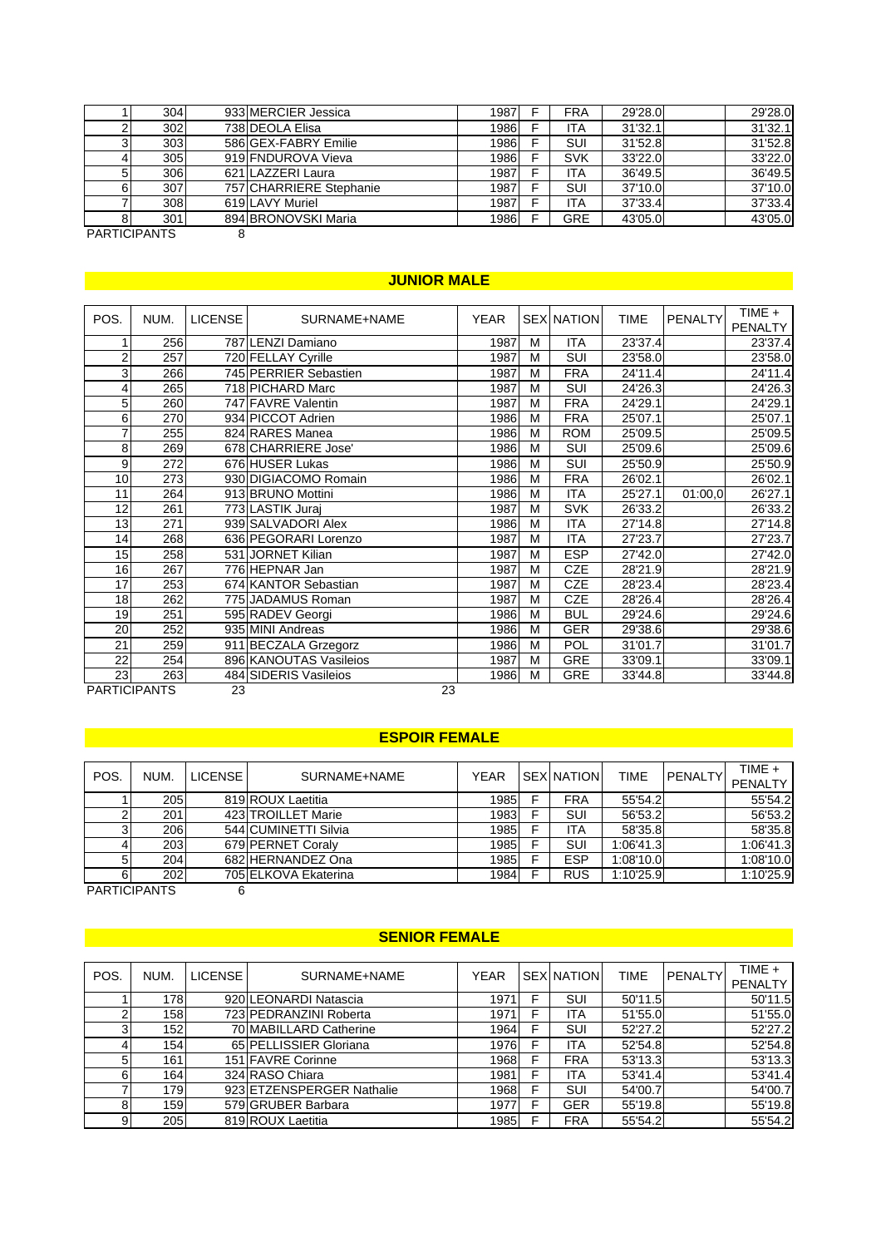|   | 304     | 933 MERCIER Jessica     | 1987  | <b>FRA</b> | 29'28.0 | 29'28.0 |
|---|---------|-------------------------|-------|------------|---------|---------|
|   | 302     | 738 DEOLA Elisa         | 19861 | ITA        | 31'32.1 | 31'32.1 |
|   | 303     | 586 GEX-FABRY Emilie    | 1986  | SUI        | 31'52.8 | 31'52.8 |
|   | 305     | 919 FNDUROVA Vieva      | 1986  | <b>SVK</b> | 33'22.0 | 33'22.0 |
| 5 | 306     | 621 LAZZERI Laura       | 1987  | <b>ITA</b> | 36'49.5 | 36'49.5 |
| 6 | 307     | 757 CHARRIERE Stephanie | 1987  | SUI        | 37'10.0 | 37'10.0 |
|   | 308     | 619 LAVY Muriel         | 1987  | <b>ITA</b> | 37'33.4 | 37'33.4 |
|   | 301     | 894 BRONOVSKI Maria     | 1986  | <b>GRE</b> | 43'05.0 | 43'05.0 |
|   | - . - - |                         |       |            |         |         |

PARTICIPANTS 8

# **JUNIOR MALE Service Contract of the Service Contract of the Service Contract of the Service Contract of the Service Contract of the Service Contract of the Service Contract of the Service Contract of the Service Contrac**

| POS.             | NUM.                | <b>LICENSE</b> | SURNAME+NAME           | <b>YEAR</b> |   | <b>SEX NATION</b> | <b>TIME</b> | PENALTY | TIME +<br><b>PENALTY</b> |
|------------------|---------------------|----------------|------------------------|-------------|---|-------------------|-------------|---------|--------------------------|
| 1                | 256                 |                | 787 LENZI Damiano      | 1987        | M | <b>ITA</b>        | 23'37.4     |         | 23'37.4                  |
| $\boldsymbol{2}$ | 257                 |                | 720 FELLAY Cyrille     | 1987        | M | <b>SUI</b>        | 23'58.0     |         | 23'58.0                  |
| 3                | 266                 |                | 745 PERRIER Sebastien  | 1987        | M | <b>FRA</b>        | 24'11.4     |         | 24'11.4                  |
| 4                | 265                 |                | 718 PICHARD Marc       | 1987        | M | SUI               | 24'26.3     |         | 24'26.3                  |
| 5                | 260                 |                | 747 FAVRE Valentin     | 1987        | M | <b>FRA</b>        | 24'29.1     |         | 24'29.1                  |
| 6                | 270                 |                | 934 PICCOT Adrien      | 1986        | M | <b>FRA</b>        | 25'07.1     |         | 25'07.1                  |
| 7                | 255                 |                | 824 RARES Manea        | 1986        | M | <b>ROM</b>        | 25'09.5     |         | 25'09.5                  |
| $\overline{8}$   | 269                 |                | 678 CHARRIERE Jose'    | 1986        | M | <b>SUI</b>        | 25'09.6     |         | 25'09.6                  |
| 9                | 272                 |                | 676 HUSER Lukas        | 1986        | M | SUI               | 25'50.9     |         | 25'50.9                  |
| 10               | 273                 |                | 930 DIGIACOMO Romain   | 1986        | M | FRA               | 26'02.1     |         | 26'02.1                  |
| 11               | 264                 |                | 913 BRUNO Mottini      | 1986        | M | <b>ITA</b>        | 25'27.1     | 01:00,0 | 26'27.1                  |
| 12               | 261                 |                | 773 LASTIK Juraj       | 1987        | M | <b>SVK</b>        | 26'33.2     |         | 26'33.2                  |
| 13               | 271                 |                | 939 SALVADORI Alex     | 1986        | M | <b>ITA</b>        | 27'14.8     |         | 27'14.8                  |
| 14               | 268                 |                | 636 PEGORARI Lorenzo   | 1987        | M | <b>ITA</b>        | 27'23.7     |         | 27'23.7                  |
| 15               | 258                 |                | 531 JORNET Kilian      | 1987        | M | <b>ESP</b>        | 27'42.0     |         | 27'42.0                  |
| 16               | 267                 |                | 776 HEPNAR Jan         | 1987        | M | <b>CZE</b>        | 28'21.9     |         | 28'21.9                  |
| 17               | 253                 |                | 674 KANTOR Sebastian   | 1987        | M | <b>CZE</b>        | 28'23.4     |         | 28'23.4                  |
| 18               | 262                 |                | 775 JADAMUS Roman      | 1987        | M | <b>CZE</b>        | 28'26.4     |         | 28'26.4                  |
| 19               | 251                 |                | 595 RADEV Georgi       | 1986        | M | <b>BUL</b>        | 29'24.6     |         | 29'24.6                  |
| 20               | 252                 |                | 935 MINI Andreas       | 1986        | M | <b>GER</b>        | 29'38.6     |         | 29'38.6                  |
| 21               | 259                 |                | 911 BECZALA Grzegorz   | 1986        | M | <b>POL</b>        | 31'01.7     |         | 31'01.7                  |
| 22               | 254                 |                | 896 KANOUTAS Vasileios | 1987        | M | <b>GRE</b>        | 33'09.1     |         | 33'09.1                  |
| 23               | 263                 |                | 484 SIDERIS Vasileios  | 1986        | M | <b>GRE</b>        | 33'44.8     |         | 33'44.8                  |
|                  | <b>PARTICIPANTS</b> | 23             | 23                     |             |   |                   |             |         |                          |

#### **ESPOIR FEMALE**

| POS | NUM.       | LICENSE <sup>1</sup> | SURNAME+NAME         | <b>YEAR</b> | <b>SEX NATION</b> | <b>TIME</b> | <b>PENALTY</b> | TIME +<br><b>PENALTY</b> |
|-----|------------|----------------------|----------------------|-------------|-------------------|-------------|----------------|--------------------------|
|     | <b>205</b> |                      | 819 ROUX Laetitia    | 1985        | <b>FRA</b>        | 55'54.2     |                | 55'54.2                  |
|     | 201        |                      | 423 TROILLET Marie   | 1983        | SUI               | 56'53.2     |                | 56'53.2                  |
| 3   | 206        |                      | 544 CUMINETTI Silvia | 1985        | <b>ITA</b>        | 58'35.8     |                | 58'35.8                  |
|     | 203        |                      | 679 PERNET Coraly    | 1985        | SUI               | 1:06'41.3   |                | 1:06'41.3                |
| 5   | 204        |                      | 682 HERNANDEZ Ona    | 1985        | <b>ESP</b>        | 1:08'10.0   |                | 1:08'10.0                |
| 6   | 202        |                      | 705 ELKOVA Ekaterina | 1984        | <b>RUS</b>        | 1:10'25.9   |                | 1:10'25.9                |

PARTICIPANTS 6

# **SENIOR FEMALE SENIOR FEMALE SENIOR FEMALE**

| POS. | NUM.       | <b>LICENSE</b> | SURNAME+NAME              | <b>YEAR</b> |   | <b>SEX NATION</b> | <b>TIME</b> | <b>PENALTY</b> | $TIME +$<br><b>PENALTY</b> |
|------|------------|----------------|---------------------------|-------------|---|-------------------|-------------|----------------|----------------------------|
|      | 178I       |                | 920 LEONARDI Natascia     | 1971        | F | SUI               | 50'11.5     |                | 50'11.5                    |
|      | 158        |                | 723 PEDRANZINI Roberta    | 1971        | F | <b>ITA</b>        | 51'55.0     |                | 51'55.0                    |
| 3    | 152        |                | 70 MABILLARD Catherine    | 1964        | F | SUI               | 52'27.2     |                | 52'27.2                    |
|      | 154        |                | 65 PELLISSIER Gloriana    | 1976        | F | <b>ITA</b>        | 52'54.8     |                | 52'54.8                    |
| 5    | 161        |                | 151 FAVRE Corinne         | 1968        | F | <b>FRA</b>        | 53'13.3     |                | 53'13.3                    |
| 6    | <b>164</b> |                | 324 RASO Chiara           | 1981        | F | <b>ITA</b>        | 53'41.4     |                | 53'41.4                    |
|      | 179        |                | 923 ETZENSPERGER Nathalie | 1968        | F | <b>SUI</b>        | 54'00.7     |                | 54'00.7                    |
| 8    | 159        |                | 579 GRUBER Barbara        | 1977        | F | <b>GER</b>        | 55'19.8     |                | 55'19.8                    |
| 9    | 205        |                | 819 ROUX Laetitia         | 1985        | F | <b>FRA</b>        | 55'54.2     |                | 55'54.2                    |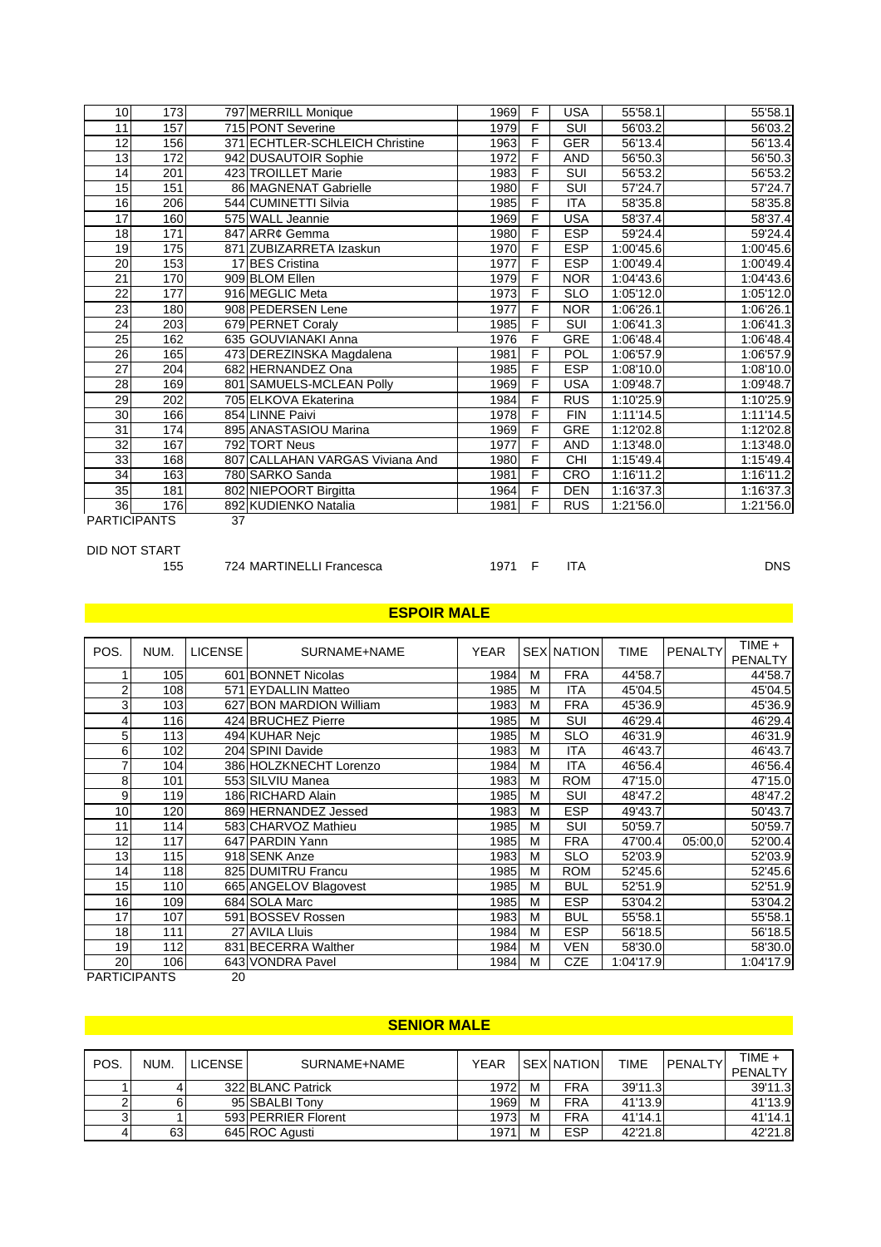| 10                  | 173        |    | 797 MERRILL Monique             | 1969 | F | <b>USA</b> | 55'58.1   | 55'58.1   |
|---------------------|------------|----|---------------------------------|------|---|------------|-----------|-----------|
| 11                  | 157        |    | 715 PONT Severine               | 1979 | F | <b>SUI</b> | 56'03.2   | 56'03.2   |
| 12                  | 156        |    | 371 ECHTLER-SCHLEICH Christine  | 1963 | F | <b>GER</b> | 56'13.4   | 56'13.4   |
| 13                  | 172        |    | 942 DUSAUTOIR Sophie            | 1972 | F | <b>AND</b> | 56'50.3   | 56'50.3   |
| 14                  | 201        |    | 423 TROILLET Marie              | 1983 | F | SUI        | 56'53.2   | 56'53.2   |
| 15                  | 151        |    | 86 MAGNENAT Gabrielle           | 1980 | F | SUI        | 57'24.7   | 57'24.7   |
| 16                  | 206        |    | 544 CUMINETTI Silvia            | 1985 | F | <b>ITA</b> | 58'35.8   | 58'35.8   |
| 17                  | 160        |    | 575 WALL Jeannie                | 1969 | F | <b>USA</b> | 58'37.4   | 58'37.4   |
| 18                  | 171        |    | 847 ARR¢ Gemma                  | 1980 | F | <b>ESP</b> | 59'24.4   | 59'24.4   |
| 19                  | 175        |    | 871 ZUBIZARRETA Izaskun         | 1970 | F | <b>ESP</b> | 1:00'45.6 | 1:00'45.6 |
| 20                  | 153        |    | 17 BES Cristina                 | 1977 | F | <b>ESP</b> | 1:00'49.4 | 1:00'49.4 |
| 21                  | 170        |    | 909 BLOM Ellen                  | 1979 | F | <b>NOR</b> | 1:04'43.6 | 1:04'43.6 |
| 22                  | 177        |    | 916 MEGLIC Meta                 | 1973 | F | <b>SLO</b> | 1:05'12.0 | 1:05'12.0 |
| 23                  | 180        |    | 908 PEDERSEN Lene               | 1977 | F | <b>NOR</b> | 1:06'26.1 | 1:06'26.1 |
| 24                  | 203        |    | 679 PERNET Coraly               | 1985 | F | <b>SUI</b> | 1:06'41.3 | 1:06'41.3 |
| 25                  | 162        |    | 635 GOUVIANAKI Anna             | 1976 | F | <b>GRE</b> | 1:06'48.4 | 1:06'48.4 |
| 26                  | <b>165</b> |    | 473 DEREZINSKA Magdalena        | 1981 | F | POL        | 1:06'57.9 | 1:06'57.9 |
| 27                  | 204        |    | 682 HERNANDEZ Ona               | 1985 | F | <b>ESP</b> | 1:08'10.0 | 1:08'10.0 |
| 28                  | 169        |    | 801 SAMUELS-MCLEAN Polly        | 1969 | F | <b>USA</b> | 1:09'48.7 | 1:09'48.7 |
| 29                  | 202        |    | 705 ELKOVA Ekaterina            | 1984 | F | <b>RUS</b> | 1:10'25.9 | 1:10'25.9 |
| 30                  | 166        |    | 854 LINNE Paivi                 | 1978 | F | <b>FIN</b> | 1:11'14.5 | 1:11'14.5 |
| 31                  | 174        |    | 895 ANASTASIOU Marina           | 1969 | F | <b>GRE</b> | 1:12'02.8 | 1:12'02.8 |
| 32                  | 167        |    | 792 TORT Neus                   | 1977 | F | <b>AND</b> | 1:13'48.0 | 1:13'48.0 |
| 33                  | 168        |    | 807 CALLAHAN VARGAS Viviana And | 1980 | F | <b>CHI</b> | 1:15'49.4 | 1:15'49.4 |
| 34                  | 163        |    | 780 SARKO Sanda                 | 1981 | F | CRO        | 1:16'11.2 | 1:16'11.2 |
| 35                  | 181        |    | 802 NIEPOORT Birgitta           | 1964 | F | <b>DEN</b> | 1:16'37.3 | 1:16'37.3 |
| 36                  | 176        |    | 892 KUDIENKO Natalia            | 1981 | F | <b>RUS</b> | 1:21'56.0 | 1:21'56.0 |
| <b>PARTICIPANTS</b> |            | 37 |                                 |      |   |            |           |           |

DID NOT START<br>155 724 MARTINELLI Francesca 1971 F ITA

**DNS** 

# <u>in de la provincia de la provincia de la provincia de la provincia de la provincia de la provincia de la provi</u>

| POS.            | NUM. | <b>LICENSE</b> | SURNAME+NAME            | <b>YEAR</b> |   | <b>SEX NATION</b> | <b>TIME</b> | <b>PENALTY</b> | $TIME +$<br><b>PENALTY</b> |
|-----------------|------|----------------|-------------------------|-------------|---|-------------------|-------------|----------------|----------------------------|
|                 | 105  |                | 601 BONNET Nicolas      | 1984        | M | <b>FRA</b>        | 44'58.7     |                | 44'58.7                    |
| 2               | 108  |                | 571 EYDALLIN Matteo     | 1985        | M | ITA               | 45'04.5     |                | 45'04.5                    |
| 3               | 103  |                | 627 BON MARDION William | 1983        | M | <b>FRA</b>        | 45'36.9     |                | 45'36.9                    |
| 4               | 116  |                | 424 BRUCHEZ Pierre      | 1985        | M | <b>SUI</b>        | 46'29.4     |                | 46'29.4                    |
| 5               | 113  |                | 494 KUHAR Neic          | 1985        | M | <b>SLO</b>        | 46'31.9     |                | 46'31.9                    |
| 6               | 102  |                | 204 SPINI Davide        | 1983        | M | <b>ITA</b>        | 46'43.7     |                | 46'43.7                    |
| 7               | 104  |                | 386 HOLZKNECHT Lorenzo  | 1984        | M | ITA               | 46'56.4     |                | 46'56.4                    |
| 8               | 101  |                | 553 SILVIU Manea        | 1983        | M | <b>ROM</b>        | 47'15.0     |                | 47'15.0                    |
| 9               | 119  |                | 186 RICHARD Alain       | 1985        | M | SUI               | 48'47.2     |                | 48'47.2                    |
| 10              | 120  |                | 869 HERNANDEZ Jessed    | 1983        | M | <b>ESP</b>        | 49'43.7     |                | 50'43.7                    |
| 11              | 114  |                | 583 CHARVOZ Mathieu     | 1985        | M | SUI               | 50'59.7     |                | 50'59.7                    |
| 12              | 117  |                | 647 PARDIN Yann         | 1985        | M | <b>FRA</b>        | 47'00.4     | 05:00.0        | 52'00.4                    |
| 13              | 115  |                | 918 SENK Anze           | 1983        | M | <b>SLO</b>        | 52'03.9     |                | 52'03.9                    |
| 14 <sub>1</sub> | 118  |                | 825 DUMITRU Francu      | 1985        | M | <b>ROM</b>        | 52'45.6     |                | 52'45.6                    |
| 15              | 110  |                | 665 ANGELOV Blagovest   | 1985        | M | <b>BUL</b>        | 52'51.9     |                | 52'51.9                    |
| 16              | 109  |                | 684 SOLA Marc           | 1985        | M | <b>ESP</b>        | 53'04.2     |                | 53'04.2                    |
| 17              | 107  |                | 591 BOSSEV Rossen       | 1983        | M | <b>BUL</b>        | 55'58.1     |                | 55'58.1                    |
| 18              | 111  |                | 27 AVILA Lluis          | 1984        | M | <b>ESP</b>        | 56'18.5     |                | 56'18.5                    |
| 19              | 112  |                | 831 BECERRA Walther     | 1984        | M | <b>VEN</b>        | 58'30.0     |                | 58'30.0                    |
| 20              | 106  |                | 643 VONDRA Pavel        | 1984        | M | <b>CZE</b>        | 1:04'17.9   |                | 1:04'17.9                  |

PARTICIPANTS 20

## <u>in the second control of the second second second second second second second second second second second second</u>

| POS | NUM. | <b>LICENSE</b> | SURNAME+NAME        | <b>YEAR</b> |   | <b>SEX NATION</b> | <b>TIME</b> | <b>IPENALTY</b> | TIME +<br><b>PENALTY</b> |
|-----|------|----------------|---------------------|-------------|---|-------------------|-------------|-----------------|--------------------------|
|     |      |                | 322 BLANC Patrick   | 19721       | М | <b>FRA</b>        | 39'11.3     |                 | 39'11.3                  |
|     |      |                | 95 SBALBI Tony      | 1969        | М | <b>FRA</b>        | 41'13.9     |                 | 41'13.9                  |
| 31  |      |                | 593 PERRIER Florent | 1973        | М | <b>FRA</b>        | 41'14.1     |                 | 41'14.1                  |
| 4   | 63   |                | 645 ROC Agusti      | 1971        | M | <b>ESP</b>        | 42'21.8     |                 | 42'21.8                  |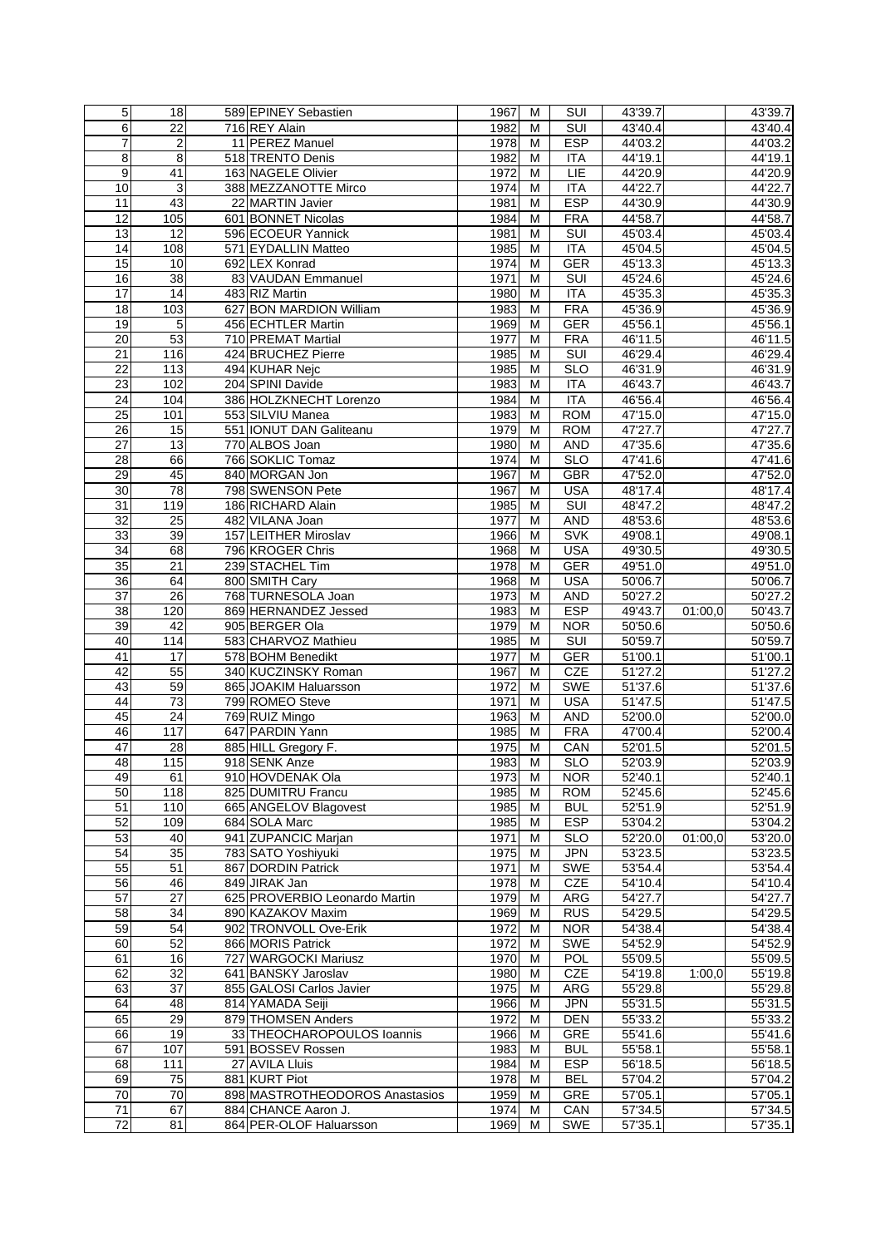| 5               | 18                      | 589 EPINEY Sebastien           | 1967 | м | SUI                     | 43'39.7            |         | 43'39.7              |
|-----------------|-------------------------|--------------------------------|------|---|-------------------------|--------------------|---------|----------------------|
| 6               | 22                      | 716 REY Alain                  | 1982 | M | SUI                     | 43'40.4            |         | 43'40.4              |
| 7               | $\overline{\mathbf{c}}$ | 11 PEREZ Manuel                | 1978 | M | <b>ESP</b>              | 44'03.2            |         | 44'03.2              |
| $\bf 8$         | 8                       | 518 TRENTO Denis               | 1982 | M | <b>ITA</b>              | 44'19.1            |         | 44'19.1              |
| 9               | 41                      | 163 NAGELE Olivier             | 1972 | M | LIE                     | 44'20.9            |         | 44'20.9              |
| 10              | 3                       | 388 MEZZANOTTE Mirco           | 1974 | M | <b>ITA</b>              | 44'22.7            |         | 44'22.7              |
| 11              | 43                      | 22 MARTIN Javier               | 1981 | M | <b>ESP</b>              | 44'30.9            |         | 44'30.9              |
| 12              | 105                     | 601 BONNET Nicolas             | 1984 | M | <b>FRA</b>              | 44'58.7            |         | 44'58.7              |
| 13              | $\overline{12}$         | 596 ECOEUR Yannick             | 1981 | M | $\overline{\text{SUI}}$ | 45'03.4            |         | 45'03.4              |
| 14              | 108                     | 571 EYDALLIN Matteo            | 1985 | M | <b>ITA</b>              |                    |         | 45'04.5              |
| 15              |                         | 692 LEX Konrad                 |      |   |                         | 45'04.5<br>45'13.3 |         |                      |
|                 | 10                      |                                | 1974 | M | GER                     |                    |         | 45'13.3              |
| 16              | 38                      | 83 VAUDAN Emmanuel             | 1971 | M | SUI                     | 45'24.6            |         | 45'24.6              |
| $\overline{17}$ | 14                      | 483 RIZ Martin                 | 1980 | M | ITA                     | 45'35.3            |         | 45'35.3              |
| 18              | 103                     | 627 BON MARDION William        | 1983 | М | <b>FRA</b>              | 45'36.9            |         | 45'36.9              |
| 19              | $\overline{5}$          | 456 ECHTLER Martin             | 1969 | M | <b>GER</b>              | 45'56.1            |         | 45'56.1              |
| $\overline{20}$ | 53                      | 710 PREMAT Martial             | 1977 | M | <b>FRA</b>              | 46'11.5            |         | 46'11.5              |
| 21              | 116                     | 424 BRUCHEZ Pierre             | 1985 | M | <b>SUI</b>              | 46'29.4            |         | 46'29.4              |
| $\overline{22}$ | 113                     | 494 KUHAR Nejc                 | 1985 | M | <b>SLO</b>              | 46'31.9            |         | 46'31.9              |
| $\overline{23}$ | 102                     | 204 SPINI Davide               | 1983 | M | <b>ITA</b>              | 46'43.7            |         | 46'43.7              |
| $\overline{24}$ | 104                     | 386 HOLZKNECHT Lorenzo         | 1984 | M | <b>ITA</b>              | 46'56.4            |         | 46'56.4              |
| 25              | 101                     | 553 SILVIU Manea               | 1983 | M | <b>ROM</b>              | 47'15.0            |         | 47'15.0              |
| 26              | 15                      | 551 <b>IONUT DAN Galiteanu</b> | 1979 | M | <b>ROM</b>              | 47'27.7            |         | 47'27.7              |
| 27              | 13                      | 770 ALBOS Joan                 | 1980 | M | <b>AND</b>              | 47'35.6            |         | 47'35.6              |
| $\overline{28}$ | 66                      | 766 SOKLIC Tomaz               | 1974 | M | <b>SLO</b>              | 47'41.6            |         | 47'41.6              |
| 29              | 45                      | 840 MORGAN Jon                 | 1967 | M | <b>GBR</b>              | 47'52.0            |         | 47'52.0              |
| $\overline{30}$ | 78                      | 798 SWENSON Pete               | 1967 | M | <b>USA</b>              | 48'17.4            |         | 48'17.4              |
| 31              | 119                     | 186 RICHARD Alain              | 1985 | M | <b>SUI</b>              | 48'47.2            |         | 48'47.2              |
| $\overline{32}$ | $\overline{25}$         | 482 VILANA Joan                | 1977 | M | <b>AND</b>              | 48'53.6            |         | 48'53.6              |
| 33              | 39                      | 157 LEITHER Miroslav           | 1966 | M | <b>SVK</b>              | 49'08.1            |         | 49'08.1              |
|                 |                         |                                |      |   |                         |                    |         |                      |
| $\overline{34}$ | 68                      | 796 KROGER Chris               | 1968 | M | <b>USA</b>              | 49'30.5            |         | 49'30.5              |
| 35              | 21                      | 239 STACHEL Tim                | 1978 | M | <b>GER</b>              | 49'51.0            |         | 49'51.0              |
| 36              | 64                      | 800 SMITH Cary                 | 1968 | M | <b>USA</b>              | 50'06.7            |         | 50'06.7              |
| 37              | 26                      | 768 TURNESOLA Joan             | 1973 | M | <b>AND</b>              | 50'27.2            |         | 50'27.2              |
| $\overline{38}$ | 120                     | 869 HERNANDEZ Jessed           | 1983 | M | <b>ESP</b>              | 49'43.7            | 01:00,0 | 50'43.7              |
| 39              | 42                      | 905 BERGER Ola                 | 1979 | M | <b>NOR</b>              | 50'50.6            |         | 50'50.6              |
| 40              | 114                     | 583 CHARVOZ Mathieu            | 1985 | M | <b>SUI</b>              | 50'59.7            |         | 50'59.7              |
| 41              | 17                      | 578 BOHM Benedikt              | 1977 | M | GER                     | 51'00.1            |         | 51'00.1              |
| 42              | 55                      | 340 KUCZINSKY Roman            | 1967 | M | <b>CZE</b>              | 51'27.2            |         | 51'27.2              |
| 43              | 59                      | 865 JOAKIM Haluarsson          | 1972 | M | <b>SWE</b>              | 51'37.6            |         | 51'37.6              |
| 44              | $\overline{73}$         | 799 ROMEO Steve                | 1971 | М | <b>USA</b>              | 51'47.5            |         | $\overline{51'47.5}$ |
| 45              | $\overline{24}$         | 769 RUIZ Mingo                 | 1963 | M | <b>AND</b>              | 52'00.0            |         | 52'00.0              |
| 46              | 117                     | 647 PARDIN Yann                | 1985 | M | <b>FRA</b>              | 47'00.4            |         | 52'00.4              |
| 47              | $\overline{28}$         | 885 HILL Gregory F.            | 1975 | M | CAN                     | 52'01.5            |         | 52'01.5              |
| 48              | 115                     | 918 SENK Anze                  | 1983 | M | <b>SLO</b>              | 52'03.9            |         | 52'03.9              |
| 49              | 61                      | 910 HOVDENAK Ola               | 1973 | м | <b>NOR</b>              | 52'40.1            |         | 52'40.1              |
| 50              | 118                     | 825 DUMITRU Francu             | 1985 | M | <b>ROM</b>              | 52'45.6            |         | 52'45.6              |
| 51              | 110                     | 665 ANGELOV Blagovest          | 1985 | M | <b>BUL</b>              | 52'51.9            |         | 52'51.9              |
| 52              | 109                     | 684 SOLA Marc                  | 1985 | M | <b>ESP</b>              | 53'04.2            |         | 53'04.2              |
| 53              | 40                      | 941 ZUPANCIC Marjan            | 1971 | M | <b>SLO</b>              | 52'20.0            | 01:00.0 | 53'20.0              |
| 54              | $\overline{35}$         | 783 SATO Yoshiyuki             | 1975 | M | <b>JPN</b>              | 53'23.5            |         | 53'23.5              |
| 55              | 51                      | 867 DORDIN Patrick             | 1971 | M | <b>SWE</b>              | 53'54.4            |         | 53'54.4              |
|                 |                         |                                |      |   |                         |                    |         |                      |
| 56              | 46                      | 849 JIRAK Jan                  | 1978 | M | CZE                     | 54'10.4            |         | 54'10.4              |
| $\overline{57}$ | 27                      | 625 PROVERBIO Leonardo Martin  | 1979 | M | <b>ARG</b>              | 54'27.7            |         | 54'27.7              |
| 58              | 34                      | 890 KAZAKOV Maxim              | 1969 | M | <b>RUS</b>              | 54'29.5            |         | 54'29.5              |
| 59              | 54                      | 902 TRONVOLL Ove-Erik          | 1972 | м | <b>NOR</b>              | 54'38.4            |         | 54'38.4              |
| 60              | 52                      | 866 MORIS Patrick              | 1972 | M | <b>SWE</b>              | 54'52.9            |         | 54'52.9              |
| 61              | 16                      | 727 WARGOCKI Mariusz           | 1970 | M | <b>POL</b>              | 55'09.5            |         | 55'09.5              |
| 62              | 32                      | 641 BANSKY Jaroslav            | 1980 | M | CZE                     | 54'19.8            | 1:00,0  | 55'19.8              |
| 63              | $\overline{37}$         | 855 GALOSI Carlos Javier       | 1975 | M | ARG                     | 55'29.8            |         | 55'29.8              |
| 64              | 48                      | 814 YAMADA Seiji               | 1966 | M | <b>JPN</b>              | 55'31.5            |         | 55'31.5              |
| 65              | 29                      | 879 THOMSEN Anders             | 1972 | M | <b>DEN</b>              | 55'33.2            |         | 55'33.2              |
| 66              | $\overline{19}$         | 33 THEOCHAROPOULOS Ioannis     | 1966 | M | GRE                     | 55'41.6            |         | 55'41.6              |
| 67              | 107                     | 591 BOSSEV Rossen              | 1983 | M | <b>BUL</b>              | 55'58.1            |         | 55'58.1              |
| 68              | $111$                   | 27 AVILA Lluis                 | 1984 | M | <b>ESP</b>              | 56'18.5            |         | 56'18.5              |
| 69              | $\overline{75}$         | 881 KURT Piot                  | 1978 | M | <b>BEL</b>              | 57'04.2            |         | $\overline{570}4.2$  |
| $\overline{70}$ | 70                      | 898 MASTROTHEODOROS Anastasios | 1959 | M | <b>GRE</b>              | 57'05.1            |         | 57'05.1              |
| 71              | 67                      | 884 CHANCE Aaron J.            | 1974 | M | CAN                     | 57'34.5            |         | 57'34.5              |
| 72              | $\overline{\mathbf{S}}$ | 864 PER-OLOF Haluarsson        | 1969 | M | <b>SWE</b>              | 57'35.1            |         | 57'35.1              |
|                 |                         |                                |      |   |                         |                    |         |                      |